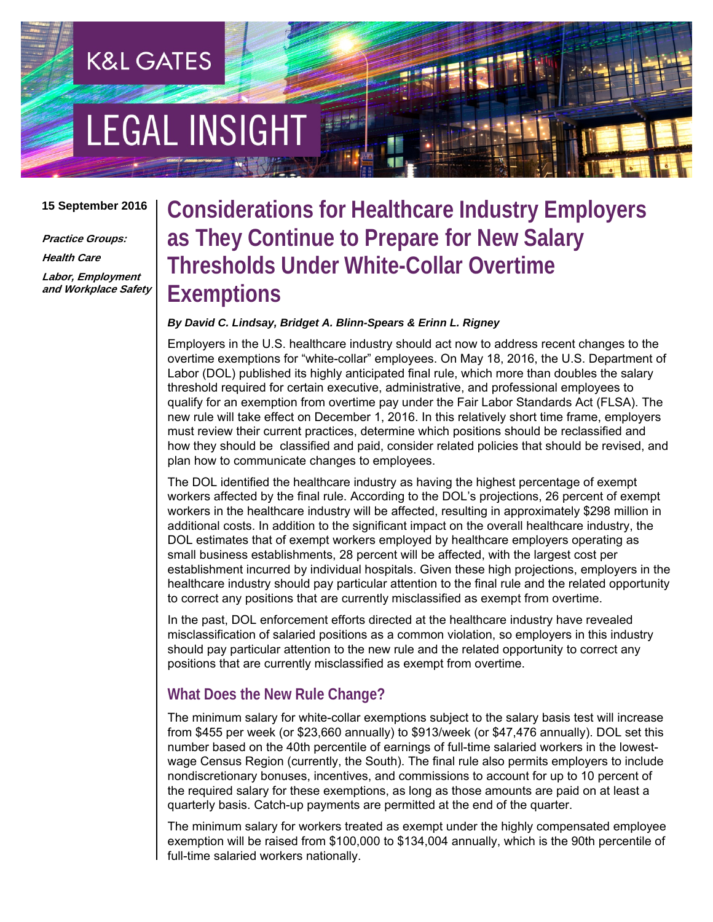# **EGAL INSIGHT**

**K&L GATES** 

#### **15 September 2016**

**Practice Groups: Health Care Labor, Employment and Workplace Safety**

# **Considerations for Healthcare Industry Employers as They Continue to Prepare for New Salary Thresholds Under White-Collar Overtime Exemptions**

#### *By David C. Lindsay, Bridget A. Blinn-Spears & Erinn L. Rigney*

Employers in the U.S. healthcare industry should act now to address recent changes to the overtime exemptions for "white-collar" employees. On May 18, 2016, the U.S. Department of Labor (DOL) published its highly anticipated final rule, which more than doubles the salary threshold required for certain executive, administrative, and professional employees to qualify for an exemption from overtime pay under the Fair Labor Standards Act (FLSA). The new rule will take effect on December 1, 2016. In this relatively short time frame, employers must review their current practices, determine which positions should be reclassified and how they should be classified and paid, consider related policies that should be revised, and plan how to communicate changes to employees.

The DOL identified the healthcare industry as having the highest percentage of exempt workers affected by the final rule. According to the DOL's projections, 26 percent of exempt workers in the healthcare industry will be affected, resulting in approximately \$298 million in additional costs. In addition to the significant impact on the overall healthcare industry, the DOL estimates that of exempt workers employed by healthcare employers operating as small business establishments, 28 percent will be affected, with the largest cost per establishment incurred by individual hospitals. Given these high projections, employers in the healthcare industry should pay particular attention to the final rule and the related opportunity to correct any positions that are currently misclassified as exempt from overtime.

In the past, DOL enforcement efforts directed at the healthcare industry have revealed misclassification of salaried positions as a common violation, so employers in this industry should pay particular attention to the new rule and the related opportunity to correct any positions that are currently misclassified as exempt from overtime.

### **What Does the New Rule Change?**

The minimum salary for white-collar exemptions subject to the salary basis test will increase from \$455 per week (or \$23,660 annually) to \$913/week (or \$47,476 annually). DOL set this number based on the 40th percentile of earnings of full-time salaried workers in the lowestwage Census Region (currently, the South). The final rule also permits employers to include nondiscretionary bonuses, incentives, and commissions to account for up to 10 percent of the required salary for these exemptions, as long as those amounts are paid on at least a quarterly basis. Catch-up payments are permitted at the end of the quarter.

The minimum salary for workers treated as exempt under the highly compensated employee exemption will be raised from \$100,000 to \$134,004 annually, which is the 90th percentile of full-time salaried workers nationally.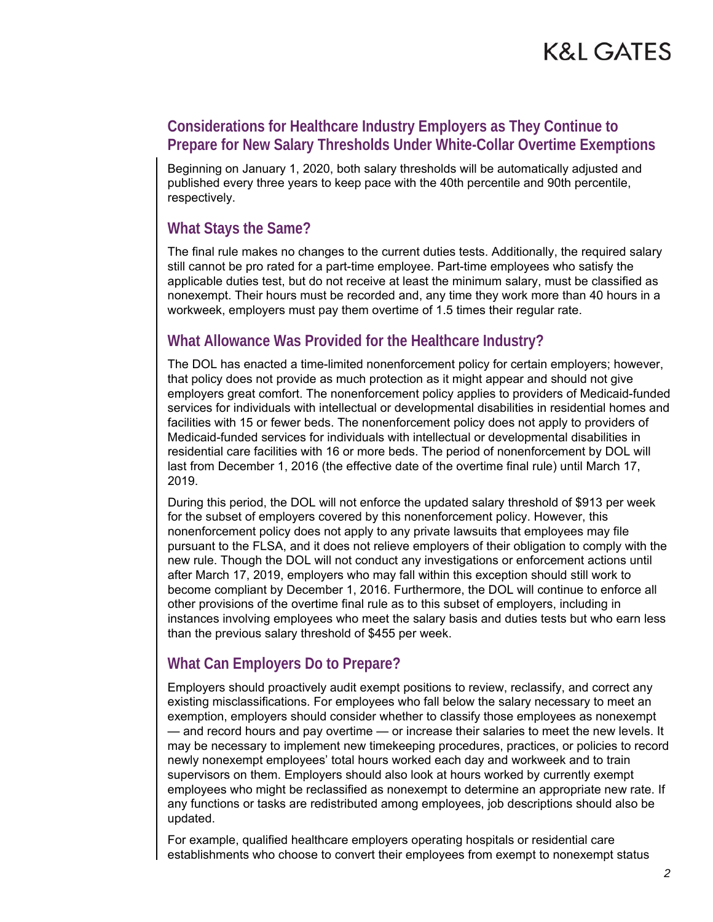## **Considerations for Healthcare Industry Employers as They Continue to Prepare for New Salary Thresholds Under White-Collar Overtime Exemptions**

Beginning on January 1, 2020, both salary thresholds will be automatically adjusted and published every three years to keep pace with the 40th percentile and 90th percentile, respectively.

### **What Stays the Same?**

The final rule makes no changes to the current duties tests. Additionally, the required salary still cannot be pro rated for a part-time employee. Part-time employees who satisfy the applicable duties test, but do not receive at least the minimum salary, must be classified as nonexempt. Their hours must be recorded and, any time they work more than 40 hours in a workweek, employers must pay them overtime of 1.5 times their regular rate.

### **What Allowance Was Provided for the Healthcare Industry?**

The DOL has enacted a time-limited nonenforcement policy for certain employers; however, that policy does not provide as much protection as it might appear and should not give employers great comfort. The nonenforcement policy applies to providers of Medicaid-funded services for individuals with intellectual or developmental disabilities in residential homes and facilities with 15 or fewer beds. The nonenforcement policy does not apply to providers of Medicaid-funded services for individuals with intellectual or developmental disabilities in residential care facilities with 16 or more beds. The period of nonenforcement by DOL will last from December 1, 2016 (the effective date of the overtime final rule) until March 17, 2019.

During this period, the DOL will not enforce the updated salary threshold of \$913 per week for the subset of employers covered by this nonenforcement policy. However, this nonenforcement policy does not apply to any private lawsuits that employees may file pursuant to the FLSA, and it does not relieve employers of their obligation to comply with the new rule. Though the DOL will not conduct any investigations or enforcement actions until after March 17, 2019, employers who may fall within this exception should still work to become compliant by December 1, 2016. Furthermore, the DOL will continue to enforce all other provisions of the overtime final rule as to this subset of employers, including in instances involving employees who meet the salary basis and duties tests but who earn less than the previous salary threshold of \$455 per week.

# **What Can Employers Do to Prepare?**

Employers should proactively audit exempt positions to review, reclassify, and correct any existing misclassifications. For employees who fall below the salary necessary to meet an exemption, employers should consider whether to classify those employees as nonexempt — and record hours and pay overtime — or increase their salaries to meet the new levels. It may be necessary to implement new timekeeping procedures, practices, or policies to record newly nonexempt employees' total hours worked each day and workweek and to train supervisors on them. Employers should also look at hours worked by currently exempt employees who might be reclassified as nonexempt to determine an appropriate new rate. If any functions or tasks are redistributed among employees, job descriptions should also be updated.

For example, qualified healthcare employers operating hospitals or residential care establishments who choose to convert their employees from exempt to nonexempt status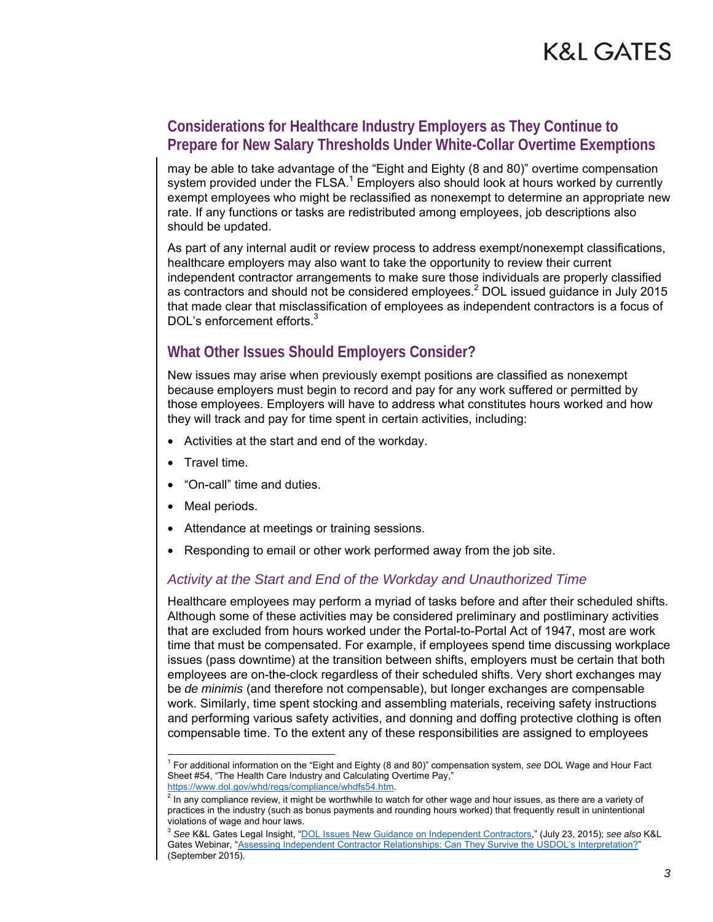### **Considerations for Healthcare Industry Employers as They Continue to Prepare for New Salary Thresholds Under White-Collar Overtime Exemptions**

may be able to take advantage of the "Eight and Eighty (8 and 80)" overtime compensation system provided under the FLSA.<sup>1</sup> Employers also should look at hours worked by currently exempt employees who might be reclassified as nonexempt to determine an appropriate new rate. If any functions or tasks are redistributed among employees, job descriptions also should be updated.

As part of any internal audit or review process to address exempt/nonexempt classifications, healthcare employers may also want to take the opportunity to review their current independent contractor arrangements to make sure those individuals are properly classified as contractors and should not be considered employees.<sup>2</sup> DOL issued guidance in July 2015 that made clear that misclassification of employees as independent contractors is a focus of DOL's enforcement efforts.<sup>3</sup>

# **What Other Issues Should Employers Consider?**

New issues may arise when previously exempt positions are classified as nonexempt because employers must begin to record and pay for any work suffered or permitted by those employees. Employers will have to address what constitutes hours worked and how they will track and pay for time spent in certain activities, including:

- Activities at the start and end of the workday.
- Travel time.
- "On-call" time and duties.
- Meal periods.

 $\overline{1}$ 

- Attendance at meetings or training sessions.
- Responding to email or other work performed away from the job site.

#### *Activity at the Start and End of the Workday and Unauthorized Time*

Healthcare employees may perform a myriad of tasks before and after their scheduled shifts. Although some of these activities may be considered preliminary and postliminary activities that are excluded from hours worked under the Portal-to-Portal Act of 1947, most are work time that must be compensated. For example, if employees spend time discussing workplace issues (pass downtime) at the transition between shifts, employers must be certain that both employees are on-the-clock regardless of their scheduled shifts. Very short exchanges may be *de minimis* (and therefore not compensable), but longer exchanges are compensable work. Similarly, time spent stocking and assembling materials, receiving safety instructions and performing various safety activities, and donning and doffing protective clothing is often compensable time. To the extent any of these responsibilities are assigned to employees

https://www.dol.gov/whd/regs/compliance/whdfs54.htm. 2

<sup>1</sup> For additional information on the "Eight and Eighty (8 and 80)" compensation system, *see* DOL Wage and Hour Fact Sheet #54, "The Health Care Industry and Calculating Overtime Pay,"

 $<sup>2</sup>$  In any compliance review, it might be worthwhile to watch for other wage and hour issues, as there are a variety of</sup> practices in the industry (such as bonus payments and rounding hours worked) that frequently result in unintentional violations of wage and hour laws.

<sup>3</sup> *See* K&L Gates Legal Insight, "[DOL Issues New Guidance on Independent Contractors,](http://www.klgateshub.com/details/?pub=DOL-Issues-New-Guidance-on-Independent-Contractors-07-23-2015)" (July 23, 2015); *see also* K&L Gates Webinar, ["Assessing Independent Contractor Relationships: Can They Survive the USDOL's Interpretation?](http://www.klgateshub.com/details/?media=c751e4e6-600e-445a-ab06-2bab42129052)" (September 2015).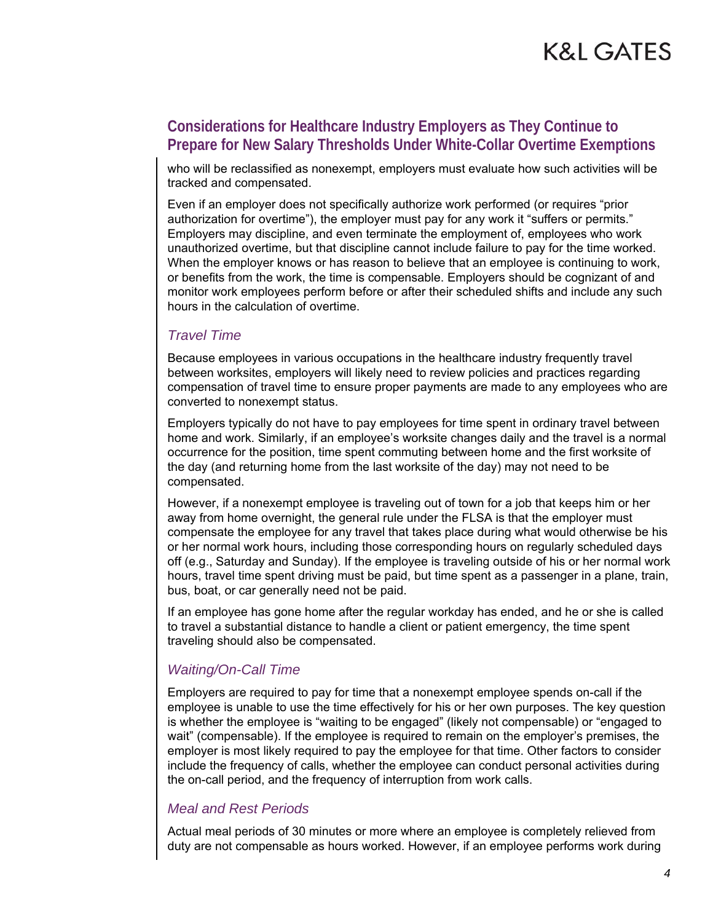# **Considerations for Healthcare Industry Employers as They Continue to Prepare for New Salary Thresholds Under White-Collar Overtime Exemptions**

who will be reclassified as nonexempt, employers must evaluate how such activities will be tracked and compensated.

Even if an employer does not specifically authorize work performed (or requires "prior authorization for overtime"), the employer must pay for any work it "suffers or permits." Employers may discipline, and even terminate the employment of, employees who work unauthorized overtime, but that discipline cannot include failure to pay for the time worked. When the employer knows or has reason to believe that an employee is continuing to work, or benefits from the work, the time is compensable. Employers should be cognizant of and monitor work employees perform before or after their scheduled shifts and include any such hours in the calculation of overtime.

#### *Travel Time*

Because employees in various occupations in the healthcare industry frequently travel between worksites, employers will likely need to review policies and practices regarding compensation of travel time to ensure proper payments are made to any employees who are converted to nonexempt status.

Employers typically do not have to pay employees for time spent in ordinary travel between home and work. Similarly, if an employee's worksite changes daily and the travel is a normal occurrence for the position, time spent commuting between home and the first worksite of the day (and returning home from the last worksite of the day) may not need to be compensated.

However, if a nonexempt employee is traveling out of town for a job that keeps him or her away from home overnight, the general rule under the FLSA is that the employer must compensate the employee for any travel that takes place during what would otherwise be his or her normal work hours, including those corresponding hours on regularly scheduled days off (e.g., Saturday and Sunday). If the employee is traveling outside of his or her normal work hours, travel time spent driving must be paid, but time spent as a passenger in a plane, train, bus, boat, or car generally need not be paid.

If an employee has gone home after the regular workday has ended, and he or she is called to travel a substantial distance to handle a client or patient emergency, the time spent traveling should also be compensated.

#### *Waiting/On-Call Time*

Employers are required to pay for time that a nonexempt employee spends on-call if the employee is unable to use the time effectively for his or her own purposes. The key question is whether the employee is "waiting to be engaged" (likely not compensable) or "engaged to wait" (compensable). If the employee is required to remain on the employer's premises, the employer is most likely required to pay the employee for that time. Other factors to consider include the frequency of calls, whether the employee can conduct personal activities during the on-call period, and the frequency of interruption from work calls.

#### *Meal and Rest Periods*

Actual meal periods of 30 minutes or more where an employee is completely relieved from duty are not compensable as hours worked. However, if an employee performs work during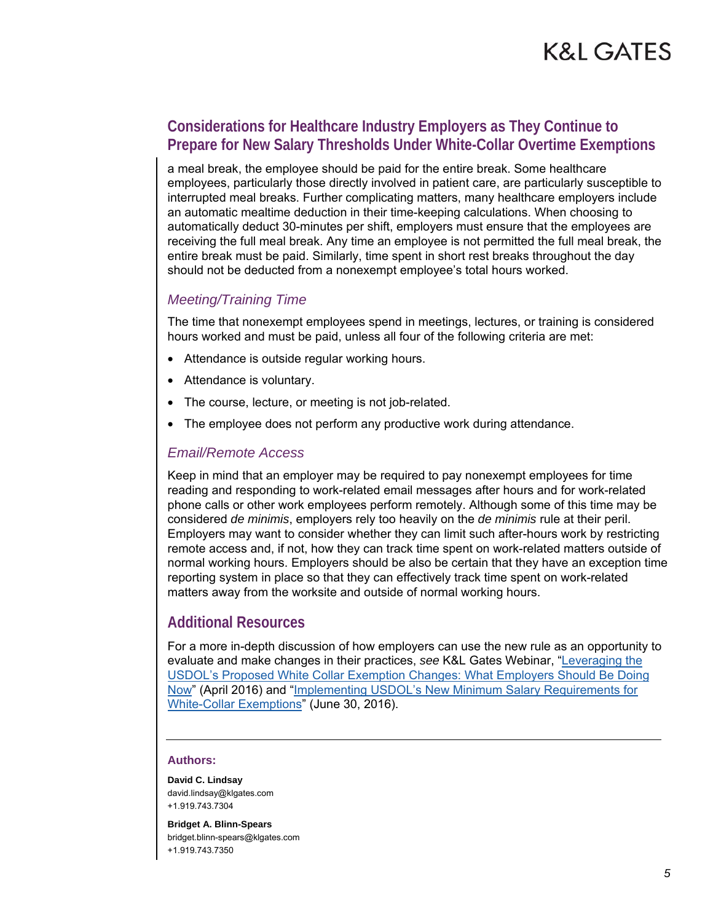### **Considerations for Healthcare Industry Employers as They Continue to Prepare for New Salary Thresholds Under White-Collar Overtime Exemptions**

a meal break, the employee should be paid for the entire break. Some healthcare employees, particularly those directly involved in patient care, are particularly susceptible to interrupted meal breaks. Further complicating matters, many healthcare employers include an automatic mealtime deduction in their time-keeping calculations. When choosing to automatically deduct 30-minutes per shift, employers must ensure that the employees are receiving the full meal break. Any time an employee is not permitted the full meal break, the entire break must be paid. Similarly, time spent in short rest breaks throughout the day should not be deducted from a nonexempt employee's total hours worked.

#### *Meeting/Training Time*

The time that nonexempt employees spend in meetings, lectures, or training is considered hours worked and must be paid, unless all four of the following criteria are met:

- Attendance is outside regular working hours.
- Attendance is voluntary.
- The course, lecture, or meeting is not job-related.
- The employee does not perform any productive work during attendance.

#### *Email/Remote Access*

Keep in mind that an employer may be required to pay nonexempt employees for time reading and responding to work-related email messages after hours and for work-related phone calls or other work employees perform remotely. Although some of this time may be considered *de minimis*, employers rely too heavily on the *de minimis* rule at their peril. Employers may want to consider whether they can limit such after-hours work by restricting remote access and, if not, how they can track time spent on work-related matters outside of normal working hours. Employers should be also be certain that they have an exception time reporting system in place so that they can effectively track time spent on work-related matters away from the worksite and outside of normal working hours.

#### **Additional Resources**

For a more in-depth discussion of how employers can use the new rule as an opportunity to evaluate and make changes in their practices, *see* K&L Gates Webinar, "Leveraging the [USDOL's Proposed White Collar Exemption Changes: What Employers Should Be Doing](http://www.klgateshub.com/details/?media=44206f50-e891-4ab4-8d16-2a7b55689c3a)  [Now" \(April 2016\) and "Implementing USDOL's New Minimum Salary Requirements for](http://www.klgateshub.com/details/?media=bf535f50-3593-488f-90c9-a55c245ae2cb)  White-Collar Exemptions" (June 30, 2016).

#### **Authors:**

**David C. Lindsay**  david.lindsay@klgates.com +1.919.743.7304

**Bridget A. Blinn-Spears**  bridget.blinn-spears@klgates.com +1.919.743.7350